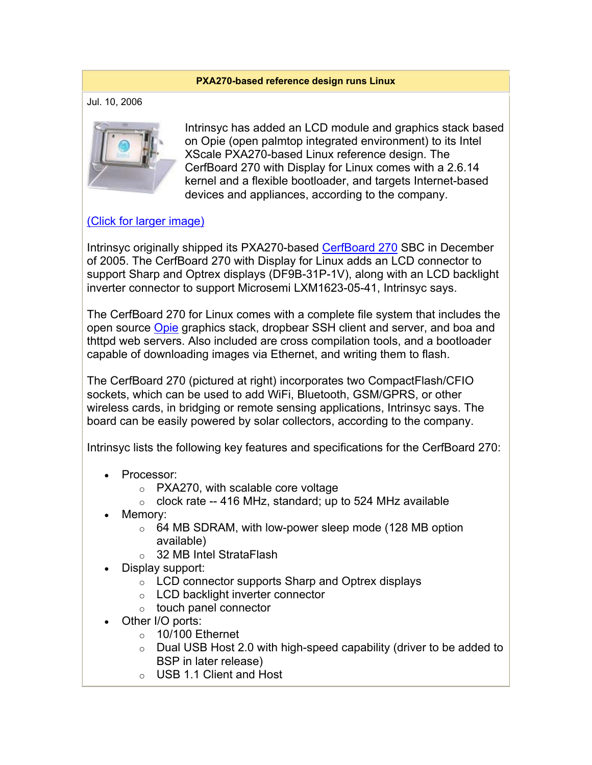## **PXA270-based reference design runs Linux**

Jul. 10, 2006



Intrinsyc has added an LCD module and graphics stack based on Opie (open palmtop integrated environment) to its Intel XScale PXA270-based Linux reference design. The CerfBoard 270 with Display for Linux comes with a 2.6.14 kernel and a flexible bootloader, and targets Internet-based devices and appliances, according to the company.

## (Click for larger image)

Intrinsyc originally shipped its PXA270-based CerfBoard 270 SBC in December of 2005. The CerfBoard 270 with Display for Linux adds an LCD connector to support Sharp and Optrex displays (DF9B-31P-1V), along with an LCD backlight inverter connector to support Microsemi LXM1623-05-41, Intrinsyc says.

The CerfBoard 270 for Linux comes with a complete file system that includes the open source Opie graphics stack, dropbear SSH client and server, and boa and thttpd web servers. Also included are cross compilation tools, and a bootloader capable of downloading images via Ethernet, and writing them to flash.

The CerfBoard 270 (pictured at right) incorporates two CompactFlash/CFIO sockets, which can be used to add WiFi, Bluetooth, GSM/GPRS, or other wireless cards, in bridging or remote sensing applications, Intrinsyc says. The board can be easily powered by solar collectors, according to the company.

Intrinsyc lists the following key features and specifications for the CerfBoard 270:

- Processor:
	- o PXA270, with scalable core voltage
	- $\circ$  clock rate -- 416 MHz, standard; up to 524 MHz available
- Memory:
	- o 64 MB SDRAM, with low-power sleep mode (128 MB option available)
	- o 32 MB Intel StrataFlash
- Display support:
	- o LCD connector supports Sharp and Optrex displays
	- o LCD backlight inverter connector
	- o touch panel connector
- Other I/O ports:
	- $\circ$  10/100 Ethernet
	- $\circ$  Dual USB Host 2.0 with high-speed capability (driver to be added to BSP in later release)
	- o USB 1.1 Client and Host